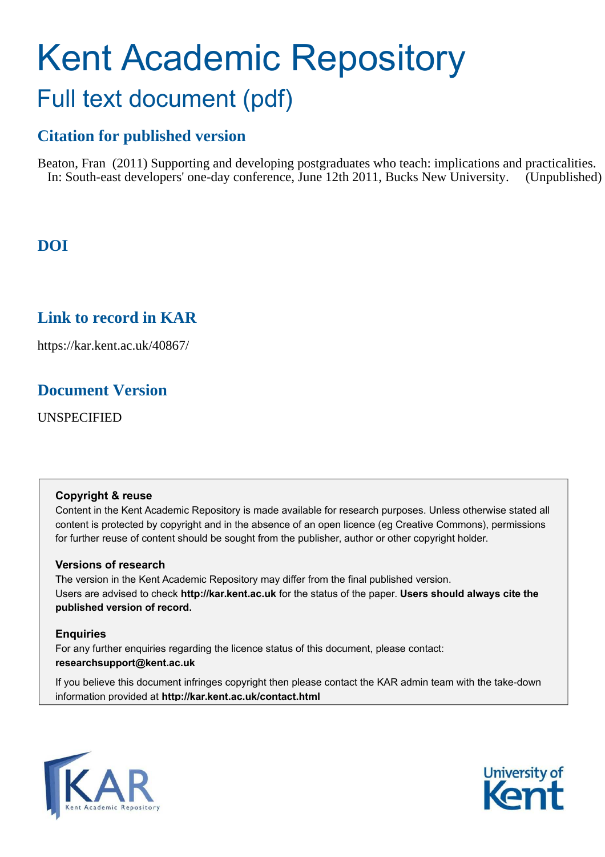### Kent Academic Repository Full text document (pdf)

### **Citation for published version**

Beaton, Fran (2011) Supporting and developing postgraduates who teach: implications and practicalities. In: South-east developers' one-day conference, June 12th 2011, Bucks New University. (Unpublished)

### **DOI**

### **Link to record in KAR**

https://kar.kent.ac.uk/40867/

### **Document Version**

UNSPECIFIED

#### **Copyright & reuse**

Content in the Kent Academic Repository is made available for research purposes. Unless otherwise stated all content is protected by copyright and in the absence of an open licence (eg Creative Commons), permissions for further reuse of content should be sought from the publisher, author or other copyright holder.

#### **Versions of research**

The version in the Kent Academic Repository may differ from the final published version. Users are advised to check **http://kar.kent.ac.uk** for the status of the paper. **Users should always cite the published version of record.**

#### **Enquiries**

For any further enquiries regarding the licence status of this document, please contact: **researchsupport@kent.ac.uk**

If you believe this document infringes copyright then please contact the KAR admin team with the take-down information provided at **http://kar.kent.ac.uk/contact.html**



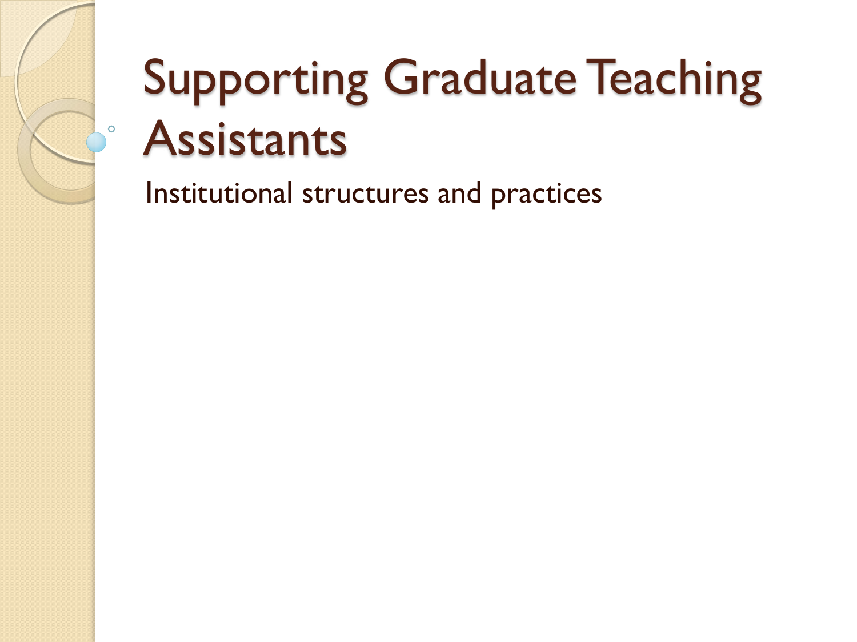# Supporting Graduate Teaching **Assistants**

Institutional structures and practices

 $\overline{O}$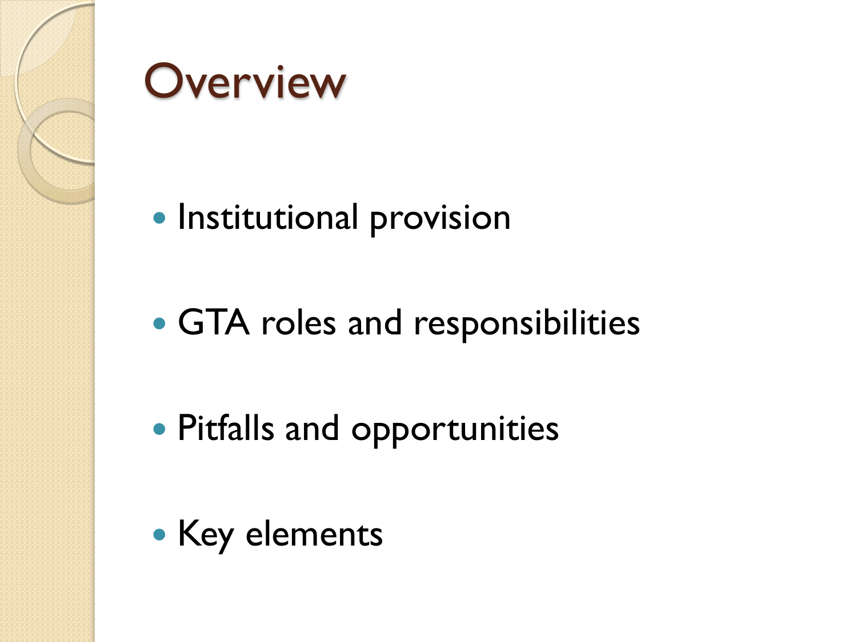



- **Institutional provision**
- GTA roles and responsibilities
- Pitfalls and opportunities
- Key elements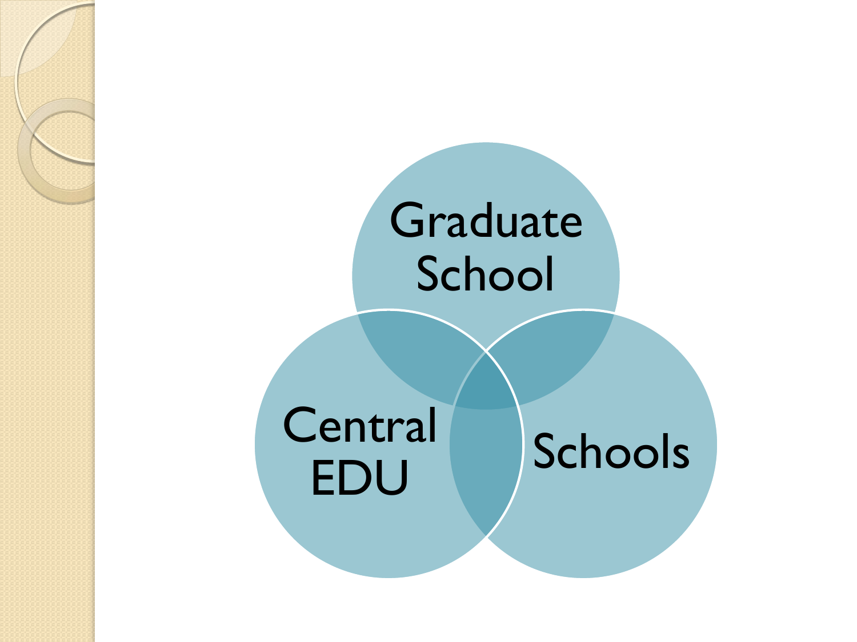### Graduate School

Central Schools EDU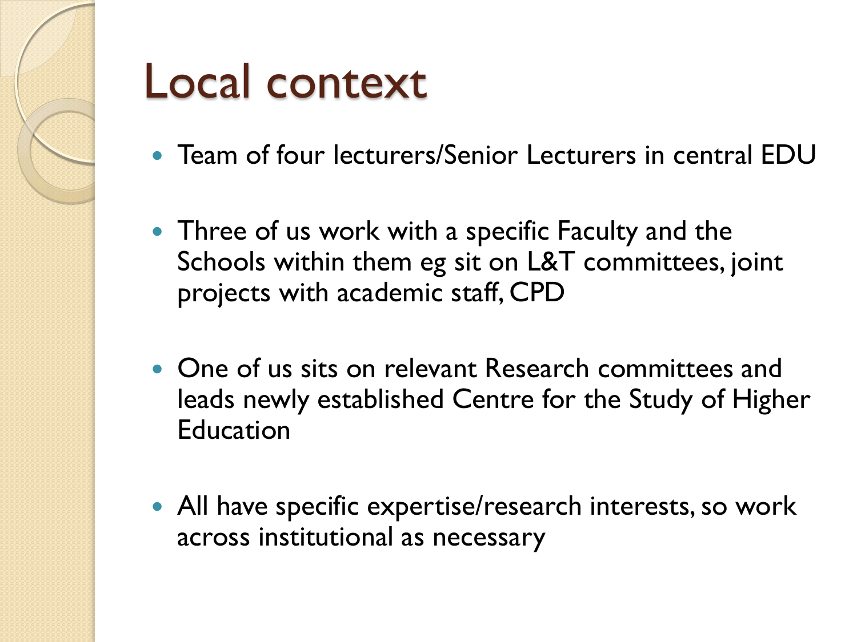

### Local context

- Team of four lecturers/Senior Lecturers in central EDU
- Three of us work with a specific Faculty and the Schools within them eg sit on L&T committees, joint projects with academic staff, CPD
- One of us sits on relevant Research committees and leads newly established Centre for the Study of Higher Education
- All have specific expertise/research interests, so work across institutional as necessary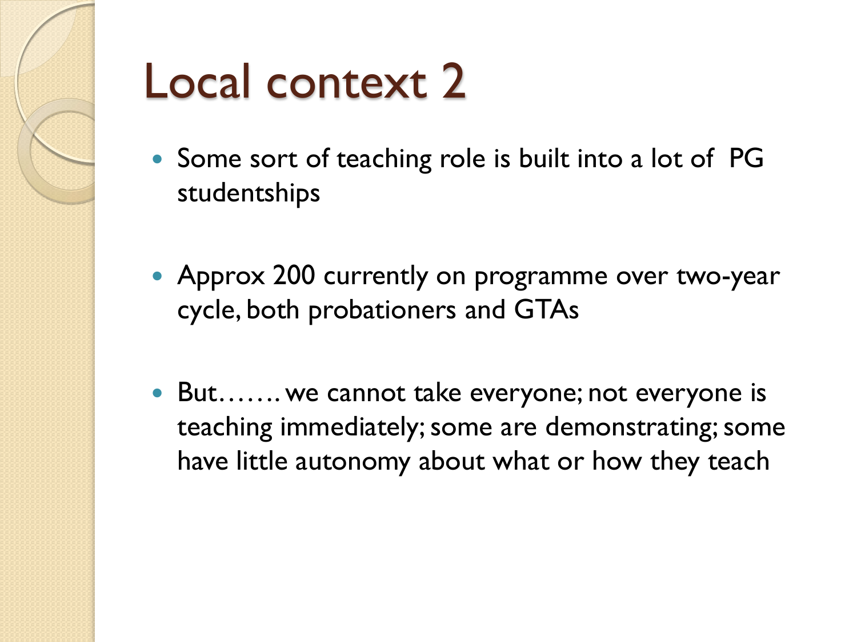

### Local context 2

- Some sort of teaching role is built into a lot of PG studentships
- Approx 200 currently on programme over two-year cycle, both probationers and GTAs
- But……. we cannot take everyone; not everyone is teaching immediately; some are demonstrating; some have little autonomy about what or how they teach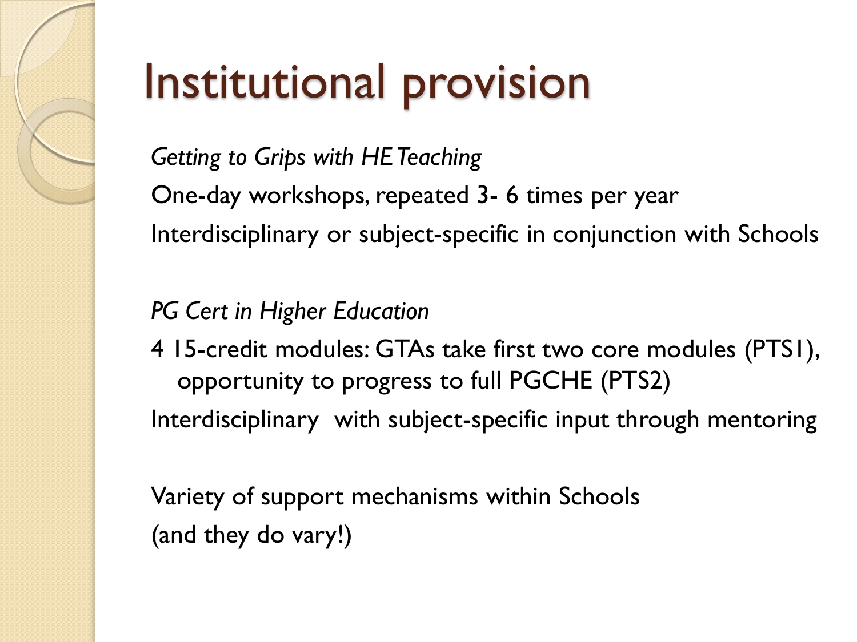# Institutional provision

*Getting to Grips with HE Teaching*  One-day workshops, repeated 3- 6 times per year Interdisciplinary or subject-specific in conjunction with Schools

### *PG Cert in Higher Education*

4 15-credit modules: GTAs take first two core modules (PTS1), opportunity to progress to full PGCHE (PTS2)

Interdisciplinary with subject-specific input through mentoring

Variety of support mechanisms within Schools (and they do vary!)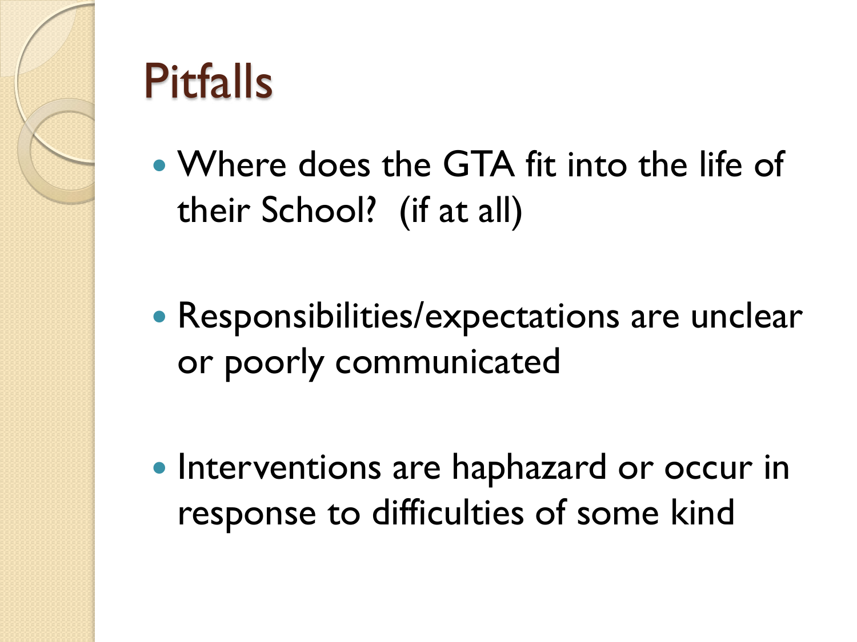

## Pitfalls

- Where does the GTA fit into the life of their School? (if at all)
- Responsibilities/expectations are unclear or poorly communicated
- Interventions are haphazard or occur in response to difficulties of some kind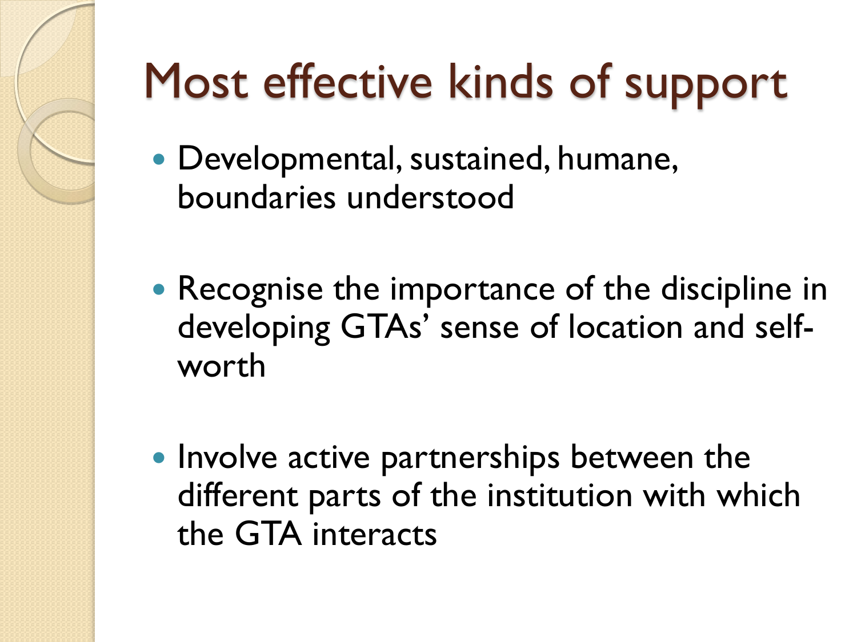# Most effective kinds of support

- Developmental, sustained, humane, boundaries understood
- Recognise the importance of the discipline in developing GTAs' sense of location and selfworth
- Involve active partnerships between the different parts of the institution with which the GTA interacts